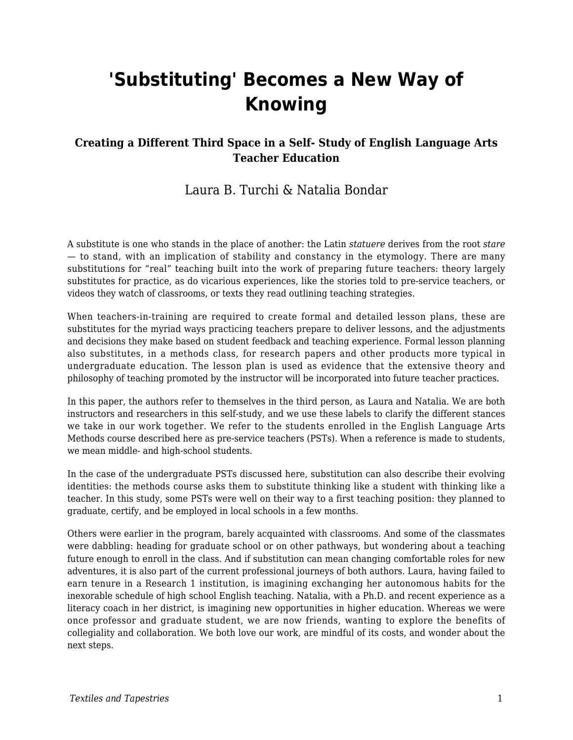# **'Substituting' Becomes a New Way of Knowing**

#### **Creating a Different Third Space in a Self- Study of English Language Arts Teacher Education**

### Laura B. Turchi & Natalia Bondar

A substitute is one who stands in the place of another: the Latin *statuere* derives from the root *stare* — to stand, with an implication of stability and constancy in the etymology. There are many substitutions for "real" teaching built into the work of preparing future teachers: theory largely substitutes for practice, as do vicarious experiences, like the stories told to pre-service teachers, or videos they watch of classrooms, or texts they read outlining teaching strategies.

When teachers-in-training are required to create formal and detailed lesson plans, these are substitutes for the myriad ways practicing teachers prepare to deliver lessons, and the adjustments and decisions they make based on student feedback and teaching experience. Formal lesson planning also substitutes, in a methods class, for research papers and other products more typical in undergraduate education. The lesson plan is used as evidence that the extensive theory and philosophy of teaching promoted by the instructor will be incorporated into future teacher practices.

In this paper, the authors refer to themselves in the third person, as Laura and Natalia. We are both instructors and researchers in this self-study, and we use these labels to clarify the different stances we take in our work together. We refer to the students enrolled in the English Language Arts Methods course described here as pre-service teachers (PSTs). When a reference is made to students, we mean middle- and high-school students.

In the case of the undergraduate PSTs discussed here, substitution can also describe their evolving identities: the methods course asks them to substitute thinking like a student with thinking like a teacher. In this study, some PSTs were well on their way to a first teaching position: they planned to graduate, certify, and be employed in local schools in a few months.

Others were earlier in the program, barely acquainted with classrooms. And some of the classmates were dabbling: heading for graduate school or on other pathways, but wondering about a teaching future enough to enroll in the class. And if substitution can mean changing comfortable roles for new adventures, it is also part of the current professional journeys of both authors. Laura, having failed to earn tenure in a Research 1 institution, is imagining exchanging her autonomous habits for the inexorable schedule of high school English teaching. Natalia, with a Ph.D. and recent experience as a literacy coach in her district, is imagining new opportunities in higher education. Whereas we were once professor and graduate student, we are now friends, wanting to explore the benefits of collegiality and collaboration. We both love our work, are mindful of its costs, and wonder about the next steps.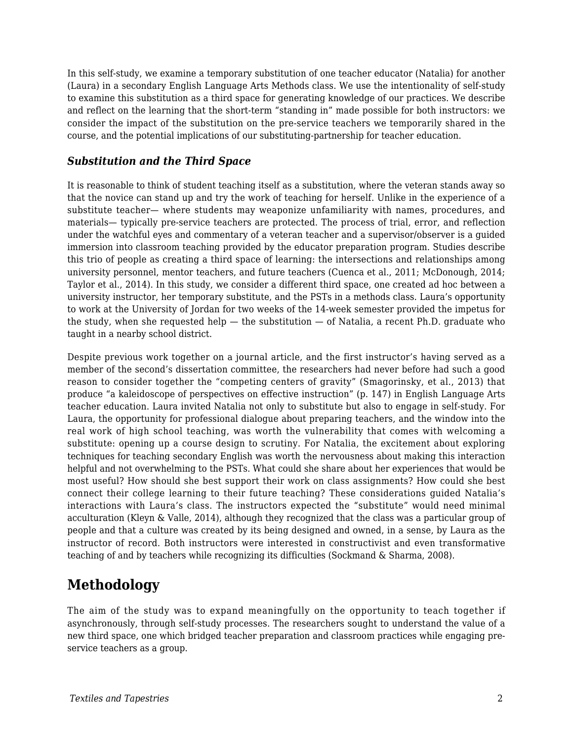In this self-study, we examine a temporary substitution of one teacher educator (Natalia) for another (Laura) in a secondary English Language Arts Methods class. We use the intentionality of self-study to examine this substitution as a third space for generating knowledge of our practices. We describe and reflect on the learning that the short-term "standing in" made possible for both instructors: we consider the impact of the substitution on the pre-service teachers we temporarily shared in the course, and the potential implications of our substituting-partnership for teacher education.

#### *Substitution and the Third Space*

It is reasonable to think of student teaching itself as a substitution, where the veteran stands away so that the novice can stand up and try the work of teaching for herself. Unlike in the experience of a substitute teacher— where students may weaponize unfamiliarity with names, procedures, and materials— typically pre-service teachers are protected. The process of trial, error, and reflection under the watchful eyes and commentary of a veteran teacher and a supervisor/observer is a guided immersion into classroom teaching provided by the educator preparation program. Studies describe this trio of people as creating a third space of learning: the intersections and relationships among university personnel, mentor teachers, and future teachers (Cuenca et al., 2011; McDonough, 2014; Taylor et al., 2014). In this study, we consider a different third space, one created ad hoc between a university instructor, her temporary substitute, and the PSTs in a methods class. Laura's opportunity to work at the University of Jordan for two weeks of the 14-week semester provided the impetus for the study, when she requested help  $-$  the substitution  $-$  of Natalia, a recent Ph.D. graduate who taught in a nearby school district.

Despite previous work together on a journal article, and the first instructor's having served as a member of the second's dissertation committee, the researchers had never before had such a good reason to consider together the "competing centers of gravity" (Smagorinsky, et al., 2013) that produce "a kaleidoscope of perspectives on effective instruction" (p. 147) in English Language Arts teacher education. Laura invited Natalia not only to substitute but also to engage in self-study. For Laura, the opportunity for professional dialogue about preparing teachers, and the window into the real work of high school teaching, was worth the vulnerability that comes with welcoming a substitute: opening up a course design to scrutiny. For Natalia, the excitement about exploring techniques for teaching secondary English was worth the nervousness about making this interaction helpful and not overwhelming to the PSTs. What could she share about her experiences that would be most useful? How should she best support their work on class assignments? How could she best connect their college learning to their future teaching? These considerations guided Natalia's interactions with Laura's class. The instructors expected the "substitute" would need minimal acculturation (Kleyn & Valle, 2014), although they recognized that the class was a particular group of people and that a culture was created by its being designed and owned, in a sense, by Laura as the instructor of record. Both instructors were interested in constructivist and even transformative teaching of and by teachers while recognizing its difficulties (Sockmand & Sharma, 2008).

# **Methodology**

The aim of the study was to expand meaningfully on the opportunity to teach together if asynchronously, through self-study processes. The researchers sought to understand the value of a new third space, one which bridged teacher preparation and classroom practices while engaging preservice teachers as a group.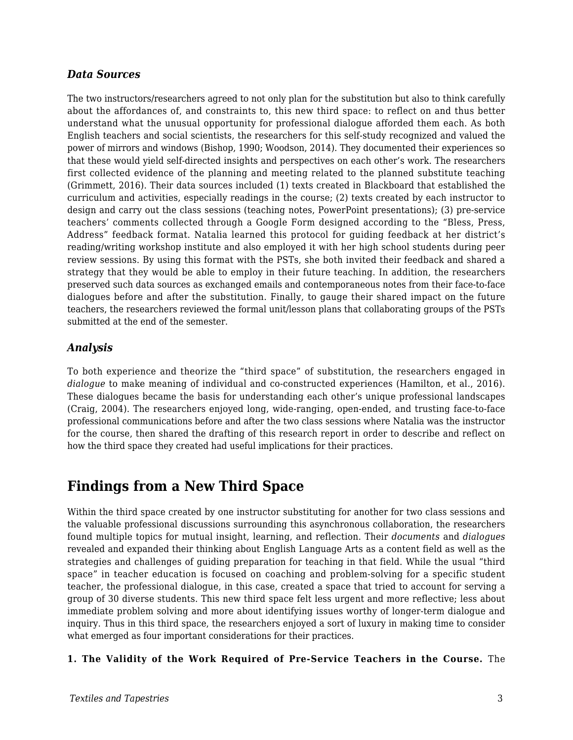#### *Data Sources*

The two instructors/researchers agreed to not only plan for the substitution but also to think carefully about the affordances of, and constraints to, this new third space: to reflect on and thus better understand what the unusual opportunity for professional dialogue afforded them each. As both English teachers and social scientists, the researchers for this self-study recognized and valued the power of mirrors and windows (Bishop, 1990; Woodson, 2014). They documented their experiences so that these would yield self-directed insights and perspectives on each other's work. The researchers first collected evidence of the planning and meeting related to the planned substitute teaching (Grimmett, 2016). Their data sources included (1) texts created in Blackboard that established the curriculum and activities, especially readings in the course; (2) texts created by each instructor to design and carry out the class sessions (teaching notes, PowerPoint presentations); (3) pre-service teachers' comments collected through a Google Form designed according to the "Bless, Press, Address" feedback format. Natalia learned this protocol for guiding feedback at her district's reading/writing workshop institute and also employed it with her high school students during peer review sessions. By using this format with the PSTs, she both invited their feedback and shared a strategy that they would be able to employ in their future teaching. In addition, the researchers preserved such data sources as exchanged emails and contemporaneous notes from their face-to-face dialogues before and after the substitution. Finally, to gauge their shared impact on the future teachers, the researchers reviewed the formal unit/lesson plans that collaborating groups of the PSTs submitted at the end of the semester.

#### *Analysis*

To both experience and theorize the "third space" of substitution, the researchers engaged in *dialogue* to make meaning of individual and co-constructed experiences (Hamilton, et al., 2016). These dialogues became the basis for understanding each other's unique professional landscapes (Craig, 2004). The researchers enjoyed long, wide-ranging, open-ended, and trusting face-to-face professional communications before and after the two class sessions where Natalia was the instructor for the course, then shared the drafting of this research report in order to describe and reflect on how the third space they created had useful implications for their practices.

### **Findings from a New Third Space**

Within the third space created by one instructor substituting for another for two class sessions and the valuable professional discussions surrounding this asynchronous collaboration, the researchers found multiple topics for mutual insight, learning, and reflection. Their *documents* and *dialogues* revealed and expanded their thinking about English Language Arts as a content field as well as the strategies and challenges of guiding preparation for teaching in that field. While the usual "third space" in teacher education is focused on coaching and problem-solving for a specific student teacher, the professional dialogue, in this case, created a space that tried to account for serving a group of 30 diverse students. This new third space felt less urgent and more reflective; less about immediate problem solving and more about identifying issues worthy of longer-term dialogue and inquiry. Thus in this third space, the researchers enjoyed a sort of luxury in making time to consider what emerged as four important considerations for their practices.

#### **1. The Validity of the Work Required of Pre-Service Teachers in the Course.** The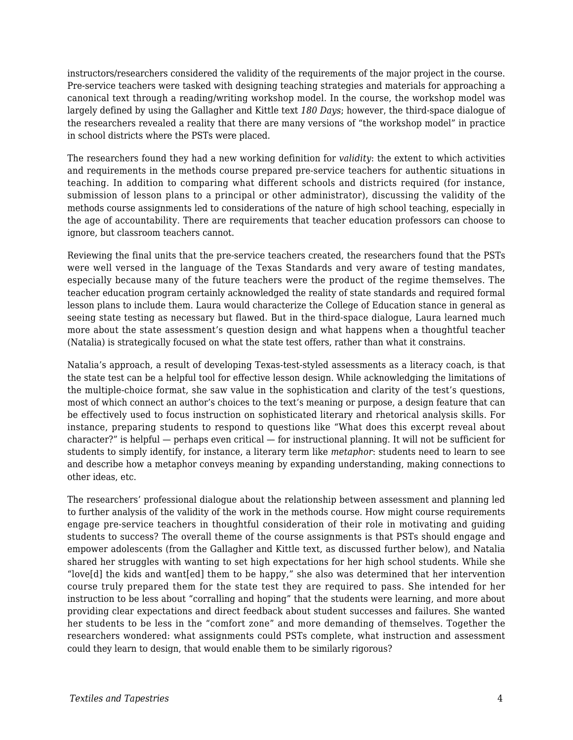instructors/researchers considered the validity of the requirements of the major project in the course. Pre-service teachers were tasked with designing teaching strategies and materials for approaching a canonical text through a reading/writing workshop model. In the course, the workshop model was largely defined by using the Gallagher and Kittle text *180 Days*; however, the third-space dialogue of the researchers revealed a reality that there are many versions of "the workshop model" in practice in school districts where the PSTs were placed.

The researchers found they had a new working definition for *validity*: the extent to which activities and requirements in the methods course prepared pre-service teachers for authentic situations in teaching. In addition to comparing what different schools and districts required (for instance, submission of lesson plans to a principal or other administrator), discussing the validity of the methods course assignments led to considerations of the nature of high school teaching, especially in the age of accountability. There are requirements that teacher education professors can choose to ignore, but classroom teachers cannot.

Reviewing the final units that the pre-service teachers created, the researchers found that the PSTs were well versed in the language of the Texas Standards and very aware of testing mandates, especially because many of the future teachers were the product of the regime themselves. The teacher education program certainly acknowledged the reality of state standards and required formal lesson plans to include them. Laura would characterize the College of Education stance in general as seeing state testing as necessary but flawed. But in the third-space dialogue, Laura learned much more about the state assessment's question design and what happens when a thoughtful teacher (Natalia) is strategically focused on what the state test offers, rather than what it constrains.

Natalia's approach, a result of developing Texas-test-styled assessments as a literacy coach, is that the state test can be a helpful tool for effective lesson design. While acknowledging the limitations of the multiple-choice format, she saw value in the sophistication and clarity of the test's questions, most of which connect an author's choices to the text's meaning or purpose, a design feature that can be effectively used to focus instruction on sophisticated literary and rhetorical analysis skills. For instance, preparing students to respond to questions like "What does this excerpt reveal about character?" is helpful — perhaps even critical — for instructional planning. It will not be sufficient for students to simply identify, for instance, a literary term like *metaphor*: students need to learn to see and describe how a metaphor conveys meaning by expanding understanding, making connections to other ideas, etc.

The researchers' professional dialogue about the relationship between assessment and planning led to further analysis of the validity of the work in the methods course. How might course requirements engage pre-service teachers in thoughtful consideration of their role in motivating and guiding students to success? The overall theme of the course assignments is that PSTs should engage and empower adolescents (from the Gallagher and Kittle text, as discussed further below), and Natalia shared her struggles with wanting to set high expectations for her high school students. While she "love[d] the kids and want[ed] them to be happy," she also was determined that her intervention course truly prepared them for the state test they are required to pass. She intended for her instruction to be less about "corralling and hoping" that the students were learning, and more about providing clear expectations and direct feedback about student successes and failures. She wanted her students to be less in the "comfort zone" and more demanding of themselves. Together the researchers wondered: what assignments could PSTs complete, what instruction and assessment could they learn to design, that would enable them to be similarly rigorous?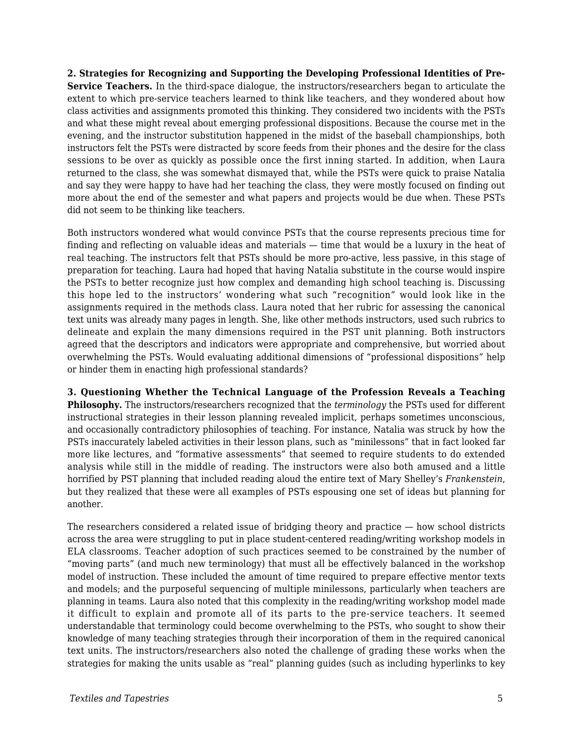**2. Strategies for Recognizing and Supporting the Developing Professional Identities of Pre-Service Teachers.** In the third-space dialogue, the instructors/researchers began to articulate the extent to which pre-service teachers learned to think like teachers, and they wondered about how class activities and assignments promoted this thinking. They considered two incidents with the PSTs and what these might reveal about emerging professional dispositions. Because the course met in the evening, and the instructor substitution happened in the midst of the baseball championships, both instructors felt the PSTs were distracted by score feeds from their phones and the desire for the class sessions to be over as quickly as possible once the first inning started. In addition, when Laura returned to the class, she was somewhat dismayed that, while the PSTs were quick to praise Natalia and say they were happy to have had her teaching the class, they were mostly focused on finding out more about the end of the semester and what papers and projects would be due when. These PSTs did not seem to be thinking like teachers.

Both instructors wondered what would convince PSTs that the course represents precious time for finding and reflecting on valuable ideas and materials — time that would be a luxury in the heat of real teaching. The instructors felt that PSTs should be more pro-active, less passive, in this stage of preparation for teaching. Laura had hoped that having Natalia substitute in the course would inspire the PSTs to better recognize just how complex and demanding high school teaching is. Discussing this hope led to the instructors' wondering what such "recognition" would look like in the assignments required in the methods class. Laura noted that her rubric for assessing the canonical text units was already many pages in length. She, like other methods instructors, used such rubrics to delineate and explain the many dimensions required in the PST unit planning. Both instructors agreed that the descriptors and indicators were appropriate and comprehensive, but worried about overwhelming the PSTs. Would evaluating additional dimensions of "professional dispositions" help or hinder them in enacting high professional standards?

**3. Questioning Whether the Technical Language of the Profession Reveals a Teaching Philosophy.** The instructors/researchers recognized that the *terminology* the PSTs used for different instructional strategies in their lesson planning revealed implicit, perhaps sometimes unconscious, and occasionally contradictory philosophies of teaching. For instance, Natalia was struck by how the PSTs inaccurately labeled activities in their lesson plans, such as "minilessons" that in fact looked far more like lectures, and "formative assessments" that seemed to require students to do extended analysis while still in the middle of reading. The instructors were also both amused and a little horrified by PST planning that included reading aloud the entire text of Mary Shelley's *Frankenstein*, but they realized that these were all examples of PSTs espousing one set of ideas but planning for another.

The researchers considered a related issue of bridging theory and practice — how school districts across the area were struggling to put in place student-centered reading/writing workshop models in ELA classrooms. Teacher adoption of such practices seemed to be constrained by the number of "moving parts" (and much new terminology) that must all be effectively balanced in the workshop model of instruction. These included the amount of time required to prepare effective mentor texts and models; and the purposeful sequencing of multiple minilessons, particularly when teachers are planning in teams. Laura also noted that this complexity in the reading/writing workshop model made it difficult to explain and promote all of its parts to the pre-service teachers. It seemed understandable that terminology could become overwhelming to the PSTs, who sought to show their knowledge of many teaching strategies through their incorporation of them in the required canonical text units. The instructors/researchers also noted the challenge of grading these works when the strategies for making the units usable as "real" planning guides (such as including hyperlinks to key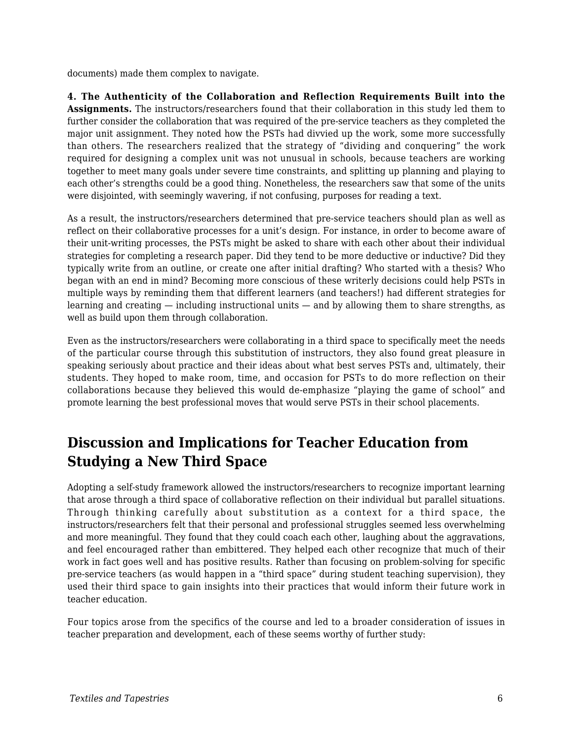documents) made them complex to navigate.

**4. The Authenticity of the Collaboration and Reflection Requirements Built into the Assignments.** The instructors/researchers found that their collaboration in this study led them to further consider the collaboration that was required of the pre-service teachers as they completed the major unit assignment. They noted how the PSTs had divvied up the work, some more successfully than others. The researchers realized that the strategy of "dividing and conquering" the work required for designing a complex unit was not unusual in schools, because teachers are working together to meet many goals under severe time constraints, and splitting up planning and playing to each other's strengths could be a good thing. Nonetheless, the researchers saw that some of the units were disjointed, with seemingly wavering, if not confusing, purposes for reading a text.

As a result, the instructors/researchers determined that pre-service teachers should plan as well as reflect on their collaborative processes for a unit's design. For instance, in order to become aware of their unit-writing processes, the PSTs might be asked to share with each other about their individual strategies for completing a research paper. Did they tend to be more deductive or inductive? Did they typically write from an outline, or create one after initial drafting? Who started with a thesis? Who began with an end in mind? Becoming more conscious of these writerly decisions could help PSTs in multiple ways by reminding them that different learners (and teachers!) had different strategies for learning and creating — including instructional units — and by allowing them to share strengths, as well as build upon them through collaboration.

Even as the instructors/researchers were collaborating in a third space to specifically meet the needs of the particular course through this substitution of instructors, they also found great pleasure in speaking seriously about practice and their ideas about what best serves PSTs and, ultimately, their students. They hoped to make room, time, and occasion for PSTs to do more reflection on their collaborations because they believed this would de-emphasize "playing the game of school" and promote learning the best professional moves that would serve PSTs in their school placements.

# **Discussion and Implications for Teacher Education from Studying a New Third Space**

Adopting a self-study framework allowed the instructors/researchers to recognize important learning that arose through a third space of collaborative reflection on their individual but parallel situations. Through thinking carefully about substitution as a context for a third space, the instructors/researchers felt that their personal and professional struggles seemed less overwhelming and more meaningful. They found that they could coach each other, laughing about the aggravations, and feel encouraged rather than embittered. They helped each other recognize that much of their work in fact goes well and has positive results. Rather than focusing on problem-solving for specific pre-service teachers (as would happen in a "third space" during student teaching supervision), they used their third space to gain insights into their practices that would inform their future work in teacher education.

Four topics arose from the specifics of the course and led to a broader consideration of issues in teacher preparation and development, each of these seems worthy of further study: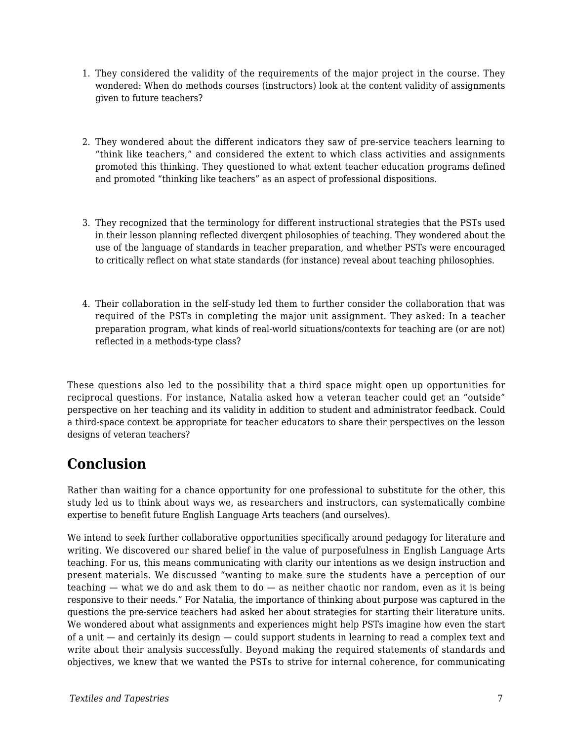- 1. They considered the validity of the requirements of the major project in the course. They wondered: When do methods courses (instructors) look at the content validity of assignments given to future teachers?
- 2. They wondered about the different indicators they saw of pre-service teachers learning to "think like teachers," and considered the extent to which class activities and assignments promoted this thinking. They questioned to what extent teacher education programs defined and promoted "thinking like teachers" as an aspect of professional dispositions.
- 3. They recognized that the terminology for different instructional strategies that the PSTs used in their lesson planning reflected divergent philosophies of teaching. They wondered about the use of the language of standards in teacher preparation, and whether PSTs were encouraged to critically reflect on what state standards (for instance) reveal about teaching philosophies.
- 4. Their collaboration in the self-study led them to further consider the collaboration that was required of the PSTs in completing the major unit assignment. They asked: In a teacher preparation program, what kinds of real-world situations/contexts for teaching are (or are not) reflected in a methods-type class?

These questions also led to the possibility that a third space might open up opportunities for reciprocal questions. For instance, Natalia asked how a veteran teacher could get an "outside" perspective on her teaching and its validity in addition to student and administrator feedback. Could a third-space context be appropriate for teacher educators to share their perspectives on the lesson designs of veteran teachers?

## **Conclusion**

Rather than waiting for a chance opportunity for one professional to substitute for the other, this study led us to think about ways we, as researchers and instructors, can systematically combine expertise to benefit future English Language Arts teachers (and ourselves).

We intend to seek further collaborative opportunities specifically around pedagogy for literature and writing. We discovered our shared belief in the value of purposefulness in English Language Arts teaching. For us, this means communicating with clarity our intentions as we design instruction and present materials. We discussed "wanting to make sure the students have a perception of our teaching  $-$  what we do and ask them to do  $-$  as neither chaotic nor random, even as it is being responsive to their needs." For Natalia, the importance of thinking about purpose was captured in the questions the pre-service teachers had asked her about strategies for starting their literature units. We wondered about what assignments and experiences might help PSTs imagine how even the start of a unit — and certainly its design — could support students in learning to read a complex text and write about their analysis successfully. Beyond making the required statements of standards and objectives, we knew that we wanted the PSTs to strive for internal coherence, for communicating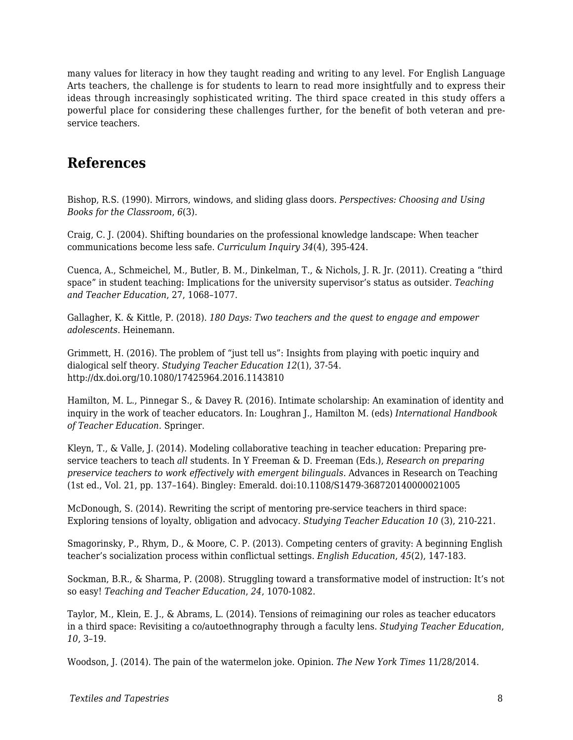many values for literacy in how they taught reading and writing to any level. For English Language Arts teachers, the challenge is for students to learn to read more insightfully and to express their ideas through increasingly sophisticated writing. The third space created in this study offers a powerful place for considering these challenges further, for the benefit of both veteran and preservice teachers.

### **References**

Bishop, R.S. (1990). Mirrors, windows, and sliding glass doors. *Perspectives: Choosing and Using Books for the Classroom*, *6*(3).

Craig, C. J. (2004). Shifting boundaries on the professional knowledge landscape: When teacher communications become less safe. *Curriculum Inquiry 34*(4), 395-424.

Cuenca, A., Schmeichel, M., Butler, B. M., Dinkelman, T., & Nichols, J. R. Jr. (2011). Creating a "third space" in student teaching: Implications for the university supervisor's status as outsider. *Teaching and Teacher Education*, 27, 1068–1077.

Gallagher, K. & Kittle, P. (2018). *180 Days: Two teachers and the quest to engage and empower adolescents*. Heinemann.

Grimmett, H. (2016). The problem of "just tell us": Insights from playing with poetic inquiry and dialogical self theory. *Studying Teacher Education 12*(1), 37-54. http://dx.doi.org/10.1080/17425964.2016.1143810

Hamilton, M. L., Pinnegar S., & Davey R. (2016). Intimate scholarship: An examination of identity and inquiry in the work of teacher educators. In: Loughran J., Hamilton M. (eds) *International Handbook of Teacher Education.* Springer.

Kleyn, T., & Valle, J. (2014). Modeling collaborative teaching in teacher education: Preparing preservice teachers to teach *all* students. In Y Freeman & D. Freeman (Eds.), *Research on preparing preservice teachers to work effectively with emergent bilinguals.* Advances in Research on Teaching (1st ed., Vol. 21, pp. 137–164). Bingley: Emerald. doi:10.1108/S1479-368720140000021005

McDonough, S. (2014). Rewriting the script of mentoring pre-service teachers in third space: Exploring tensions of loyalty, obligation and advocacy. *Studying Teacher Education 10* (3), 210-221.

Smagorinsky, P., Rhym, D., & Moore, C. P. (2013). Competing centers of gravity: A beginning English teacher's socialization process within conflictual settings. *English Education*, *45*(2), 147-183.

Sockman, B.R., & Sharma, P. (2008). Struggling toward a transformative model of instruction: It's not so easy! *Teaching and Teacher Education*, *24*, 1070-1082.

Taylor, M., Klein, E. J., & Abrams, L. (2014). Tensions of reimagining our roles as teacher educators in a third space: Revisiting a co/autoethnography through a faculty lens. *Studying Teacher Education*, *10*, 3–19.

Woodson, J. (2014). The pain of the watermelon joke. Opinion. *The New York Times* 11/28/2014.